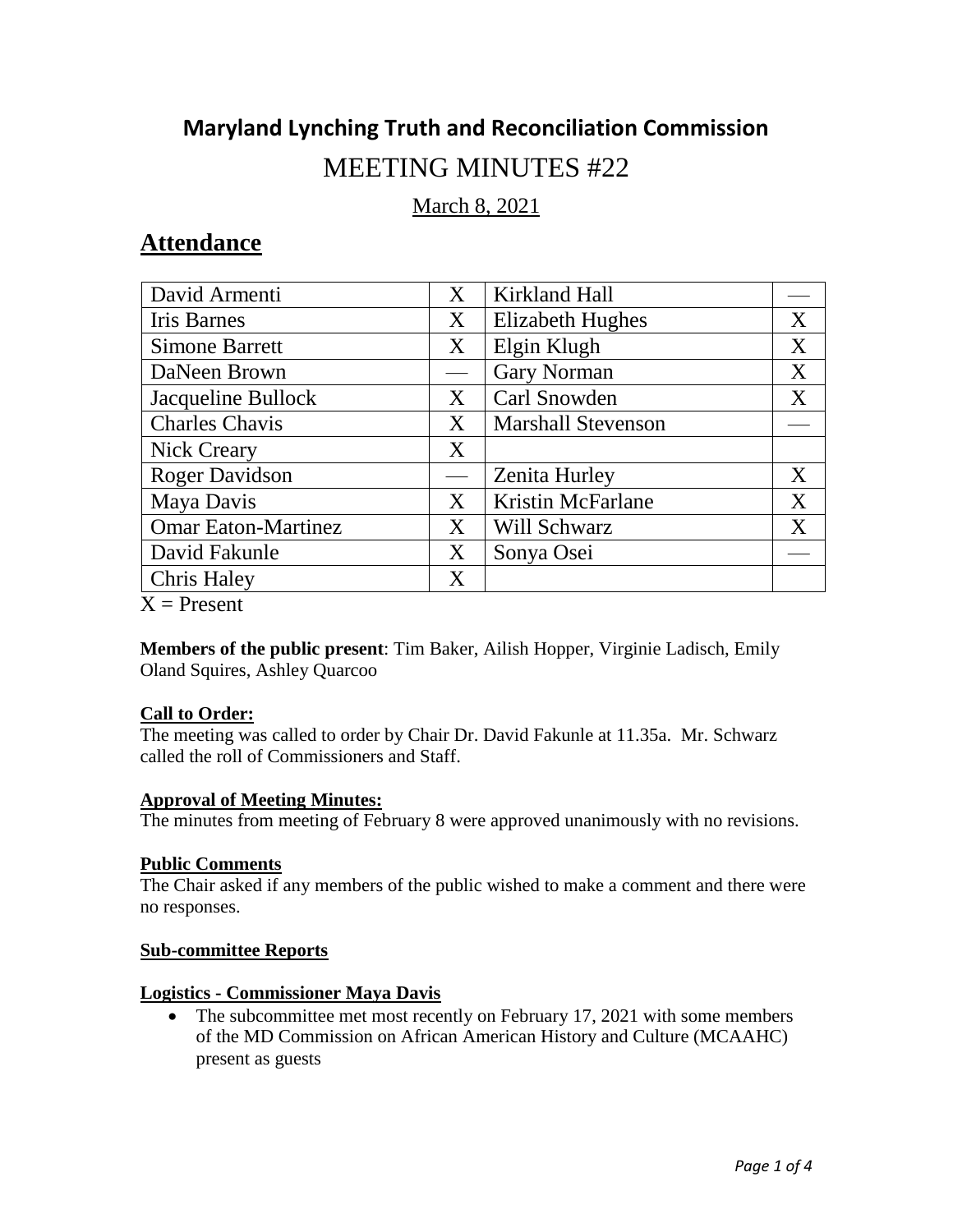# **Maryland Lynching Truth and Reconciliation Commission**

# MEETING MINUTES #22

March 8, 2021

## **Attendance**

| David Armenti              | X | Kirkland Hall             |   |
|----------------------------|---|---------------------------|---|
| <b>Iris Barnes</b>         | X | <b>Elizabeth Hughes</b>   | X |
| <b>Simone Barrett</b>      | X | Elgin Klugh               | X |
| DaNeen Brown               |   | <b>Gary Norman</b>        | X |
| Jacqueline Bullock         | X | Carl Snowden              | X |
| <b>Charles Chavis</b>      | X | <b>Marshall Stevenson</b> |   |
| <b>Nick Creary</b>         | X |                           |   |
| <b>Roger Davidson</b>      |   | Zenita Hurley             | X |
| Maya Davis                 | X | <b>Kristin McFarlane</b>  | X |
| <b>Omar Eaton-Martinez</b> | X | Will Schwarz              | X |
| David Fakunle              | X | Sonya Osei                |   |
| <b>Chris Haley</b>         | X |                           |   |
| $X =$ Present              |   |                           |   |

**Members of the public present**: Tim Baker, Ailish Hopper, Virginie Ladisch, Emily Oland Squires, Ashley Quarcoo

#### **Call to Order:**

The meeting was called to order by Chair Dr. David Fakunle at 11.35a. Mr. Schwarz called the roll of Commissioners and Staff.

#### **Approval of Meeting Minutes:**

The minutes from meeting of February 8 were approved unanimously with no revisions.

## **Public Comments**

The Chair asked if any members of the public wished to make a comment and there were no responses.

#### **Sub-committee Reports**

#### **Logistics - Commissioner Maya Davis**

• The subcommittee met most recently on February 17, 2021 with some members of the MD Commission on African American History and Culture (MCAAHC) present as guests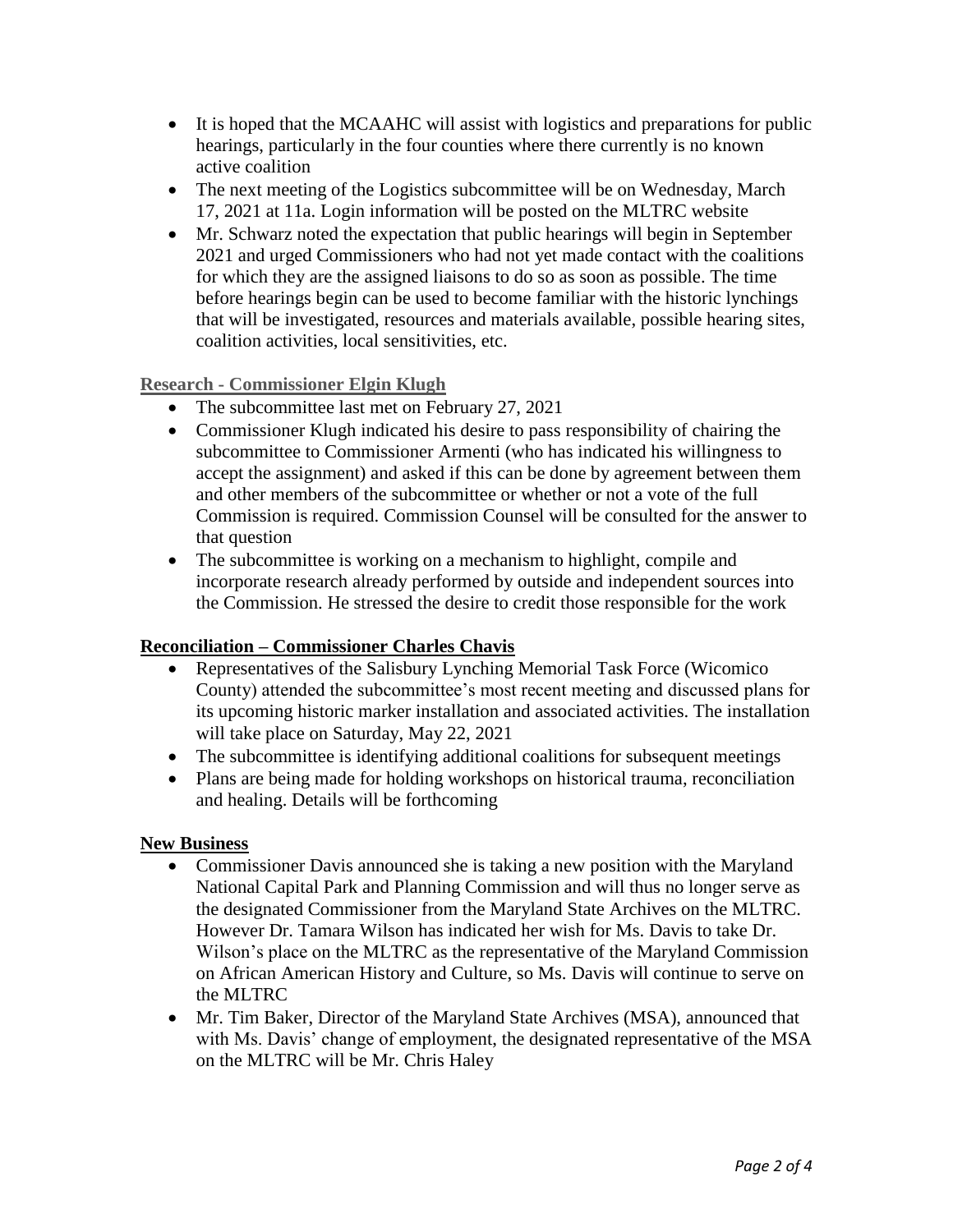- It is hoped that the MCAAHC will assist with logistics and preparations for public hearings, particularly in the four counties where there currently is no known active coalition
- The next meeting of the Logistics subcommittee will be on Wednesday, March 17, 2021 at 11a. Login information will be posted on the MLTRC website
- Mr. Schwarz noted the expectation that public hearings will begin in September 2021 and urged Commissioners who had not yet made contact with the coalitions for which they are the assigned liaisons to do so as soon as possible. The time before hearings begin can be used to become familiar with the historic lynchings that will be investigated, resources and materials available, possible hearing sites, coalition activities, local sensitivities, etc.

**Research - Commissioner Elgin Klugh** 

- The subcommittee last met on February 27, 2021
- Commissioner Klugh indicated his desire to pass responsibility of chairing the subcommittee to Commissioner Armenti (who has indicated his willingness to accept the assignment) and asked if this can be done by agreement between them and other members of the subcommittee or whether or not a vote of the full Commission is required. Commission Counsel will be consulted for the answer to that question
- The subcommittee is working on a mechanism to highlight, compile and incorporate research already performed by outside and independent sources into the Commission. He stressed the desire to credit those responsible for the work

#### **Reconciliation – Commissioner Charles Chavis**

- Representatives of the Salisbury Lynching Memorial Task Force (Wicomico County) attended the subcommittee's most recent meeting and discussed plans for its upcoming historic marker installation and associated activities. The installation will take place on Saturday, May 22, 2021
- The subcommittee is identifying additional coalitions for subsequent meetings
- Plans are being made for holding workshops on historical trauma, reconciliation and healing. Details will be forthcoming

#### **New Business**

- Commissioner Davis announced she is taking a new position with the Maryland National Capital Park and Planning Commission and will thus no longer serve as the designated Commissioner from the Maryland State Archives on the MLTRC. However Dr. Tamara Wilson has indicated her wish for Ms. Davis to take Dr. Wilson's place on the MLTRC as the representative of the Maryland Commission on African American History and Culture, so Ms. Davis will continue to serve on the MLTRC
- Mr. Tim Baker, Director of the Maryland State Archives (MSA), announced that with Ms. Davis' change of employment, the designated representative of the MSA on the MLTRC will be Mr. Chris Haley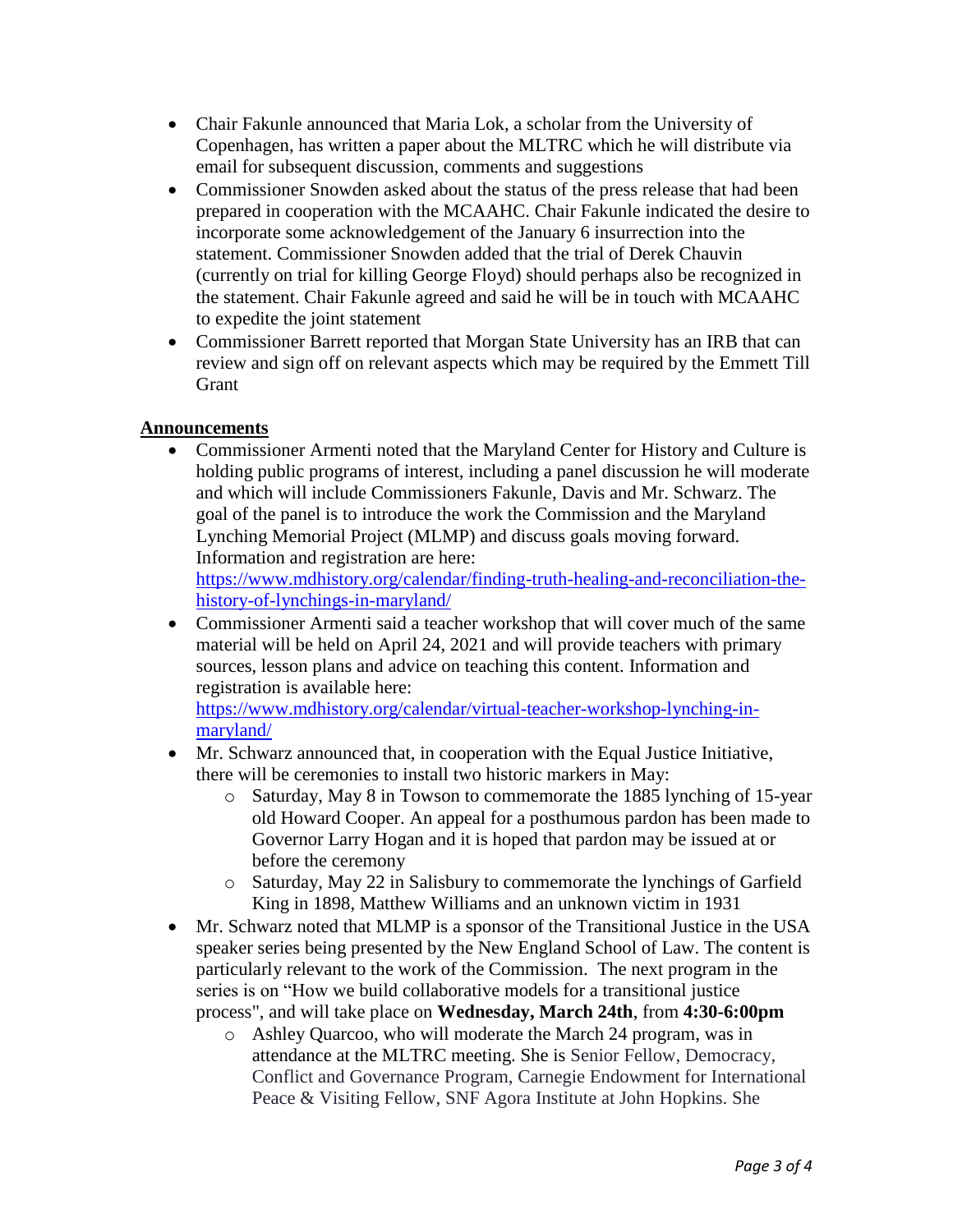- Chair Fakunle announced that Maria Lok, a scholar from the University of Copenhagen, has written a paper about the MLTRC which he will distribute via email for subsequent discussion, comments and suggestions
- Commissioner Snowden asked about the status of the press release that had been prepared in cooperation with the MCAAHC. Chair Fakunle indicated the desire to incorporate some acknowledgement of the January 6 insurrection into the statement. Commissioner Snowden added that the trial of Derek Chauvin (currently on trial for killing George Floyd) should perhaps also be recognized in the statement. Chair Fakunle agreed and said he will be in touch with MCAAHC to expedite the joint statement
- review and sign off on relevant aspects which may be required by the Emmett Till Commissioner Barrett reported that Morgan State University has an IRB that can Grant

### **Announcements**

 Commissioner Armenti noted that the Maryland Center for History and Culture is holding public programs of interest, including a panel discussion he will moderate and which will include Commissioners Fakunle, Davis and Mr. Schwarz. The goal of the panel is to introduce the work the Commission and the Maryland Lynching Memorial Project (MLMP) and discuss goals moving forward. Information and registration are here:

[https://www.mdhistory.org/calendar/finding-truth-healing-and-reconciliation-the](https://www.mdhistory.org/calendar/finding-truth-healing-and-reconciliation-the-history-of-lynchings-in-maryland/)history-of-lynchings-in-maryland/

 Commissioner Armenti said a teacher workshop that will cover much of the same material will be held on April 24, 2021 and will provide teachers with primary sources, lesson plans and advice on teaching this content. Information and registration is available here:

[https://www.mdhistory.org/calendar/virtual-teacher-workshop-lynching-in](https://www.mdhistory.org/calendar/virtual-teacher-workshop-lynching-in-maryland/)maryland/

- Mr. Schwarz announced that, in cooperation with the Equal Justice Initiative, there will be ceremonies to install two historic markers in May:
	- Governor Larry Hogan and it is hoped that pardon may be issued at or o Saturday, May 8 in Towson to commemorate the 1885 lynching of 15-year old Howard Cooper. An appeal for a posthumous pardon has been made to before the ceremony
	- o Saturday, May 22 in Salisbury to commemorate the lynchings of Garfield King in 1898, Matthew Williams and an unknown victim in 1931
- speaker series being presented by the New England School of Law. The content is • Mr. Schwarz noted that MLMP is a sponsor of the Transitional Justice in the USA particularly relevant to the work of the Commission. The next program in the series is on "How we build collaborative models for a transitional justice process", and will take place on **Wednesday, March 24th**, from **4:30-6:00pm** 
	- Peace & Visiting Fellow, SNF Agora Institute at John Hopkins. She o Ashley Quarcoo, who will moderate the March 24 program, was in attendance at the MLTRC meeting. She is Senior Fellow, Democracy, Conflict and Governance Program, Carnegie Endowment for International